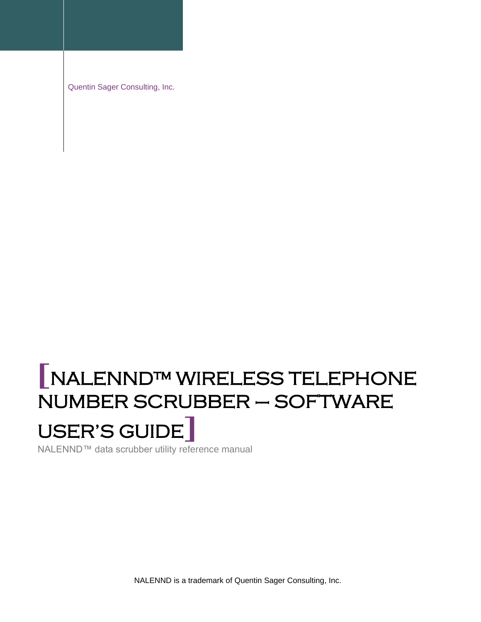Quentin Sager Consulting, Inc.

# **[**NALENND™ WIRELESS TELEPHONE NUMBER SCRUBBER – SOFTWARE USER'S GUIDE**]**

NALENND™ data scrubber utility reference manual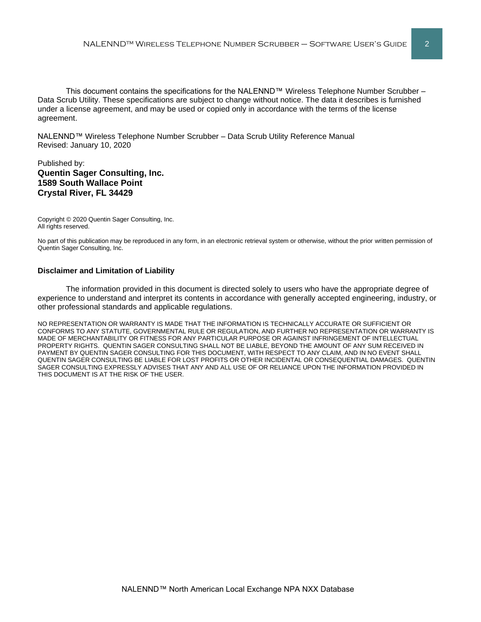This document contains the specifications for the NALENND™ Wireless Telephone Number Scrubber – Data Scrub Utility. These specifications are subject to change without notice. The data it describes is furnished under a license agreement, and may be used or copied only in accordance with the terms of the license agreement.

NALENND™ Wireless Telephone Number Scrubber – Data Scrub Utility Reference Manual Revised: January 10, 2020

# Published by: **Quentin Sager Consulting, Inc. 1589 South Wallace Point Crystal River, FL 34429**

Copyright © 2020 Quentin Sager Consulting, Inc. All rights reserved.

No part of this publication may be reproduced in any form, in an electronic retrieval system or otherwise, without the prior written permission of Quentin Sager Consulting, Inc.

### **Disclaimer and Limitation of Liability**

The information provided in this document is directed solely to users who have the appropriate degree of experience to understand and interpret its contents in accordance with generally accepted engineering, industry, or other professional standards and applicable regulations.

NO REPRESENTATION OR WARRANTY IS MADE THAT THE INFORMATION IS TECHNICALLY ACCURATE OR SUFFICIENT OR CONFORMS TO ANY STATUTE, GOVERNMENTAL RULE OR REGULATION, AND FURTHER NO REPRESENTATION OR WARRANTY IS MADE OF MERCHANTABILITY OR FITNESS FOR ANY PARTICULAR PURPOSE OR AGAINST INFRINGEMENT OF INTELLECTUAL PROPERTY RIGHTS. QUENTIN SAGER CONSULTING SHALL NOT BE LIABLE, BEYOND THE AMOUNT OF ANY SUM RECEIVED IN PAYMENT BY QUENTIN SAGER CONSULTING FOR THIS DOCUMENT, WITH RESPECT TO ANY CLAIM, AND IN NO EVENT SHALL QUENTIN SAGER CONSULTING BE LIABLE FOR LOST PROFITS OR OTHER INCIDENTAL OR CONSEQUENTIAL DAMAGES. QUENTIN SAGER CONSULTING EXPRESSLY ADVISES THAT ANY AND ALL USE OF OR RELIANCE UPON THE INFORMATION PROVIDED IN THIS DOCUMENT IS AT THE RISK OF THE USER.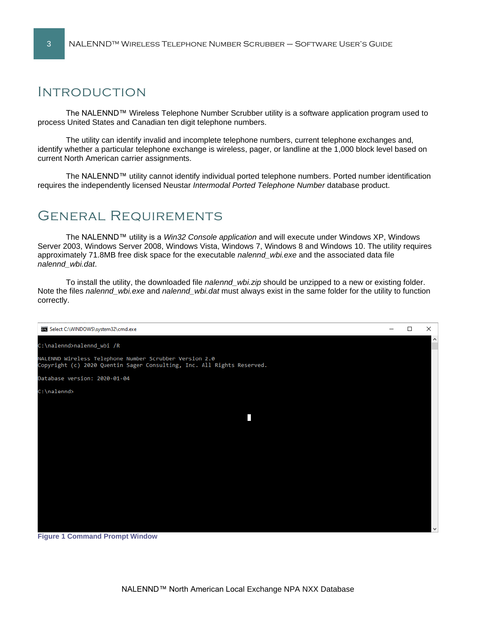# Introduction

The NALENND™ Wireless Telephone Number Scrubber utility is a software application program used to process United States and Canadian ten digit telephone numbers.

The utility can identify invalid and incomplete telephone numbers, current telephone exchanges and, identify whether a particular telephone exchange is wireless, pager, or landline at the 1,000 block level based on current North American carrier assignments.

The NALENND™ utility cannot identify individual ported telephone numbers. Ported number identification requires the independently licensed Neustar *Intermodal Ported Telephone Number* database product.

# General Requirements

The NALENND™ utility is a *Win32 Console application* and will execute under Windows XP, Windows Server 2003, Windows Server 2008, Windows Vista, Windows 7, Windows 8 and Windows 10. The utility requires approximately 71.8MB free disk space for the executable *nalennd\_wbi.exe* and the associated data file *nalennd\_wbi.dat*.

To install the utility, the downloaded file *nalennd\_wbi.zip* should be unzipped to a new or existing folder. Note the files *nalennd\_wbi.exe* and *nalennd\_wbi.dat* must always exist in the same folder for the utility to function correctly.



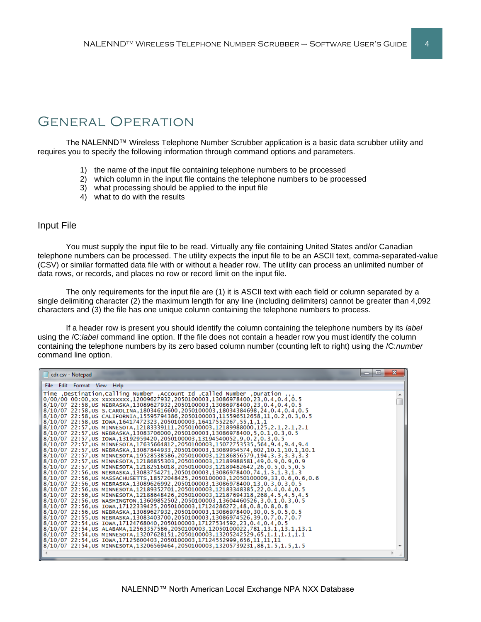# General Operation

The NALENND™ Wireless Telephone Number Scrubber application is a basic data scrubber utility and requires you to specify the following information through command options and parameters.

- 1) the name of the input file containing telephone numbers to be processed
- 2) which column in the input file contains the telephone numbers to be processed
- 3) what processing should be applied to the input file
- 4) what to do with the results

# Input File

You must supply the input file to be read. Virtually any file containing United States and/or Canadian telephone numbers can be processed. The utility expects the input file to be an ASCII text, comma-separated-value (CSV) or similar formatted data file with or without a header row. The utility can process an unlimited number of data rows, or records, and places no row or record limit on the input file.

The only requirements for the input file are (1) it is ASCII text with each field or column separated by a single delimiting character (2) the maximum length for any line (including delimiters) cannot be greater than 4,092 characters and (3) the file has one unique column containing the telephone numbers to process.

If a header row is present you should identify the column containing the telephone numbers by its *label* using the /C:*label* command line option. If the file does not contain a header row you must identify the column containing the telephone numbers by its zero based column number (counting left to right) using the /C:*number* command line option.

| cdr.csv - Notepad                                                                                                                                                                                                                                                                                                                                                                                                                                                                                                                                                                                                                                                                                                                                                                                                                                                                                                                                                                                                                                                                                                                                                                                                                                                                                                                                                                                                                                                                                                                                                                                                                                                                                                                                                                                                                                                                                                                                                                                                                                                                                                                 | $\mathbf{x}$<br>e |
|-----------------------------------------------------------------------------------------------------------------------------------------------------------------------------------------------------------------------------------------------------------------------------------------------------------------------------------------------------------------------------------------------------------------------------------------------------------------------------------------------------------------------------------------------------------------------------------------------------------------------------------------------------------------------------------------------------------------------------------------------------------------------------------------------------------------------------------------------------------------------------------------------------------------------------------------------------------------------------------------------------------------------------------------------------------------------------------------------------------------------------------------------------------------------------------------------------------------------------------------------------------------------------------------------------------------------------------------------------------------------------------------------------------------------------------------------------------------------------------------------------------------------------------------------------------------------------------------------------------------------------------------------------------------------------------------------------------------------------------------------------------------------------------------------------------------------------------------------------------------------------------------------------------------------------------------------------------------------------------------------------------------------------------------------------------------------------------------------------------------------------------|-------------------|
| File Edit Format View Help                                                                                                                                                                                                                                                                                                                                                                                                                                                                                                                                                                                                                                                                                                                                                                                                                                                                                                                                                                                                                                                                                                                                                                                                                                                                                                                                                                                                                                                                                                                                                                                                                                                                                                                                                                                                                                                                                                                                                                                                                                                                                                        |                   |
| ,,, Time ,Destination,Calling Number ,Account Id ,Called Number,<br>8/10/07 22:58.US NEBRASKA.13089627932.2050100003.13086978400.23.0.4.0.4.0.5<br>8/10/07 22:58, US S.CAROLINA, 18034616600, 2050100003, 18034384698, 24, 0.4, 0.6<br>8/10/07 22:58, US CALIFORNIA, 15595794386, 2050100003, 115596512658, 11, 0.2, 0.3, 0.5<br>1,1,1,1,2552267,155,1,1,1(1)3/10/07 22:58,10000,10417552267 8710/07 8<br>8/10/07 22:57.US MINNESOTA.12183339111.2050100003.12189988000.125.2.1.2.1.2.1 <br>8/10/07 22:57.05 NEBRASKA.13083706000.2050100003.13086978400.5.0.1.0.3.0.5<br>8,0.1,0.3,0.5.0.13192959420,2050100003,13194540052,9,0.2,0.3,0.5/<br>9.4.9.4.9.4.9.4.0.12/07 22:57,US MINNESOTA.17635664812.2050100003.15072753535.564.<br>10.1,10.1,10.1,10.1,10.1 ,10.7 3089954574,602,10.1 ,10.1 \$5898784584,13087844933,205010003,130899545<br>8.1.3.3.3.3.3 [3.3.4] 8/10/07 22:57,05 20MHzGOTA,19528538586,2050100003,12186856579,194,3.3,3.3<br>8/10/07 22:57.US MINNESOTA.12186855303.2050100003.12189988581.49.0.9.0.9.0.9 [<br>8,0.5,0.5,0.5,0.5,0.5,0.5 12189482642,26,0.5,0.5 1218/10/07 22:57,05 MINNESOTA,12182516018,205010000<br>8/10/07 22:56,US MASSACHUSETTS,18572048425,2050100003,12050100009,33,0.6,0.6,0.6 <br>8/10/07 22:56.US NEBRASKA.13089626992.2050100003.13086978400.13.0.3.0.3.0.5<br>0.4.0.5.12183348385,22.0.4.0.5.إ 8/10/07 22:56,US MINNESOTA.12189352701.2050100003<br>8.1.5.1.5.4.5 .4.5 .4.5 .268,4287694 .12188648426 .2050100003 .12187694 .18 .268 .4.5 .4.5 .4<br>1,0.3,0.5.0.1.0.3,0.5/P0526,13604460526,3,0.1.0.3,0.5/P052502,12605200,205.2050.0<br>8,0,8,0.8,0.8,0.8,0.8,0.8 17122339425,2050100003,17124286272,48,0.8,0.8,0.8<br>8/10/07 22:56.US NEBRASKA.13089627932.2050100003.13086978400.30.0.5.0.5.0.5 [<br>0.7.0.7.0.7 0.7.0.7 13086974526,39.0.7 10.7 18/10/07 22:55.US NEBRASKA.13083403700.205010003.13086974<br>18/10/07 22:54.∪S IOWA.17124768040.2050100003.17127534592.23.0.4.0.4.0.5<br>13.1.13.1.13.1.13.1.13.1.3.1.[13.1.13.1] 8/10/07 22:54.18AMA.12563357586.2050100003.12050100022<br>8/10/07 22:54.US MINNESOTA.13207628151.2050100003.13205242529.65.1.1.1.1.1.1.1 |                   |
|                                                                                                                                                                                                                                                                                                                                                                                                                                                                                                                                                                                                                                                                                                                                                                                                                                                                                                                                                                                                                                                                                                                                                                                                                                                                                                                                                                                                                                                                                                                                                                                                                                                                                                                                                                                                                                                                                                                                                                                                                                                                                                                                   |                   |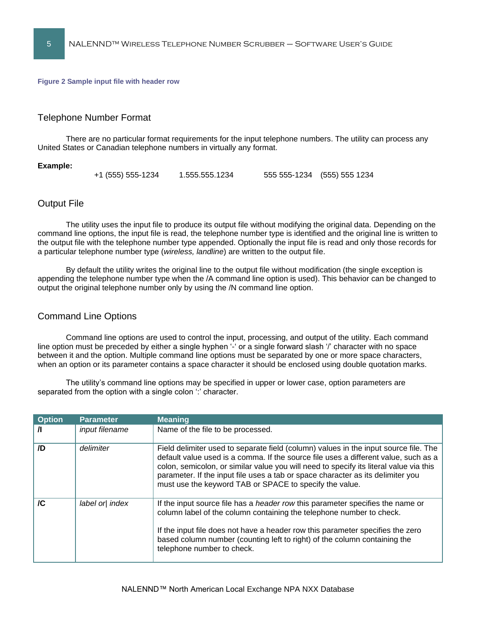#### **Figure 2 Sample input file with header row**

## Telephone Number Format

There are no particular format requirements for the input telephone numbers. The utility can process any United States or Canadian telephone numbers in virtually any format.

#### **Example:**

```
+1 (555) 555-1234 1.555.555.1234 555 555-1234 (555) 555 1234
```
### Output File

The utility uses the input file to produce its output file without modifying the original data. Depending on the command line options, the input file is read, the telephone number type is identified and the original line is written to the output file with the telephone number type appended. Optionally the input file is read and only those records for a particular telephone number type (*wireless, landline*) are written to the output file.

By default the utility writes the original line to the output file without modification (the single exception is appending the telephone number type when the /A command line option is used). This behavior can be changed to output the original telephone number only by using the /N command line option.

### Command Line Options

Command line options are used to control the input, processing, and output of the utility. Each command line option must be preceded by either a single hyphen '-' or a single forward slash '/' character with no space between it and the option. Multiple command line options must be separated by one or more space characters, when an option or its parameter contains a space character it should be enclosed using double quotation marks.

The utility's command line options may be specified in upper or lower case, option parameters are separated from the option with a single colon ':' character.

| <b>Option</b> | <b>Parameter</b> | <b>Meaning</b>                                                                                                                                                                                                                                                                                                                                                                                                      |
|---------------|------------------|---------------------------------------------------------------------------------------------------------------------------------------------------------------------------------------------------------------------------------------------------------------------------------------------------------------------------------------------------------------------------------------------------------------------|
| $\mathbf{I}$  | input filename   | Name of the file to be processed.                                                                                                                                                                                                                                                                                                                                                                                   |
| /D            | delimiter        | Field delimiter used to separate field (column) values in the input source file. The<br>default value used is a comma. If the source file uses a different value, such as a<br>colon, semicolon, or similar value you will need to specify its literal value via this<br>parameter. If the input file uses a tab or space character as its delimiter you<br>must use the keyword TAB or SPACE to specify the value. |
| /C            | label or index   | If the input source file has a <i>header row</i> this parameter specifies the name or<br>column label of the column containing the telephone number to check.<br>If the input file does not have a header row this parameter specifies the zero<br>based column number (counting left to right) of the column containing the<br>telephone number to check.                                                          |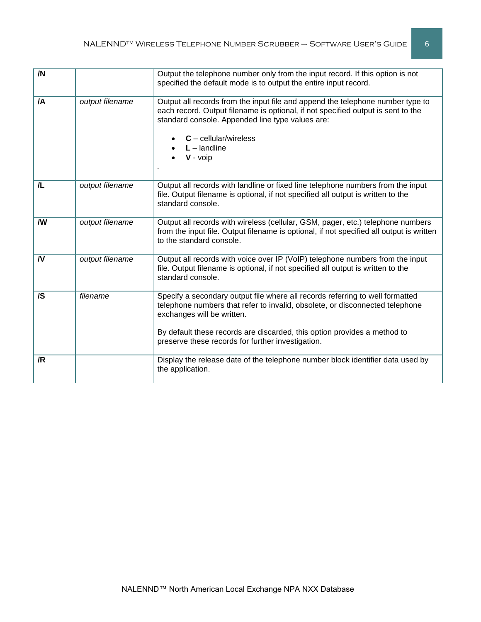| /N       |                 | Output the telephone number only from the input record. If this option is not<br>specified the default mode is to output the entire input record.                                                                                                                                                                            |
|----------|-----------------|------------------------------------------------------------------------------------------------------------------------------------------------------------------------------------------------------------------------------------------------------------------------------------------------------------------------------|
| /A       | output filename | Output all records from the input file and append the telephone number type to<br>each record. Output filename is optional, if not specified output is sent to the<br>standard console. Appended line type values are:<br>$C$ – cellular/wireless<br>$L$ – landline<br>$V - \nu$ oip                                         |
| 儿        | output filename | Output all records with landline or fixed line telephone numbers from the input<br>file. Output filename is optional, if not specified all output is written to the<br>standard console.                                                                                                                                     |
| W        | output filename | Output all records with wireless (cellular, GSM, pager, etc.) telephone numbers<br>from the input file. Output filename is optional, if not specified all output is written<br>to the standard console.                                                                                                                      |
| <b>N</b> | output filename | Output all records with voice over IP (VoIP) telephone numbers from the input<br>file. Output filename is optional, if not specified all output is written to the<br>standard console.                                                                                                                                       |
| /S       | filename        | Specify a secondary output file where all records referring to well formatted<br>telephone numbers that refer to invalid, obsolete, or disconnected telephone<br>exchanges will be written.<br>By default these records are discarded, this option provides a method to<br>preserve these records for further investigation. |
| /R       |                 | Display the release date of the telephone number block identifier data used by<br>the application.                                                                                                                                                                                                                           |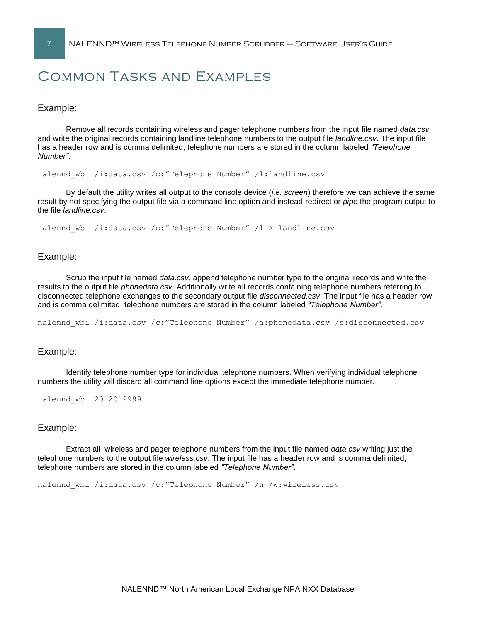# Common Tasks and Examples

Example:

Remove all records containing wireless and pager telephone numbers from the input file named *data.csv* and write the original records containing landline telephone numbers to the output file *landline.csv*. The input file has a header row and is comma delimited, telephone numbers are stored in the column labeled *"Telephone Number"*.

nalennd\_wbi /i:data.csv /c:"Telephone Number" /l:landline.csv

By default the utility writes all output to the console device (*i.e. screen*) therefore we can achieve the same result by not specifying the output file via a command line option and instead redirect or *pipe* the program output to the file *landline.csv*.

nalennd wbi /i:data.csv /c:"Telephone Number" /l > landline.csv

## Example:

Scrub the input file named *data.csv,* append telephone number type to the original records and write the results to the output file *phonedata.csv*. Additionally write all records containing telephone numbers referring to disconnected telephone exchanges to the secondary output file *disconnected.csv*. The input file has a header row and is comma delimited, telephone numbers are stored in the column labeled *"Telephone Number"*.

nalennd wbi /i:data.csv /c:"Telephone Number" /a:phonedata.csv /s:disconnected.csv

### Example:

Identify telephone number type for individual telephone numbers. When verifying individual telephone numbers the utility will discard all command line options except the immediate telephone number.

```
nalennd_wbi 2012019999
```
# Example:

Extract all wireless and pager telephone numbers from the input file named *data.csv* writing just the telephone numbers to the output file *wireless.csv*. The input file has a header row and is comma delimited, telephone numbers are stored in the column labeled *"Telephone Number"*.

nalennd\_wbi /i:data.csv /c:"Telephone Number" /n /w:wireless.csv